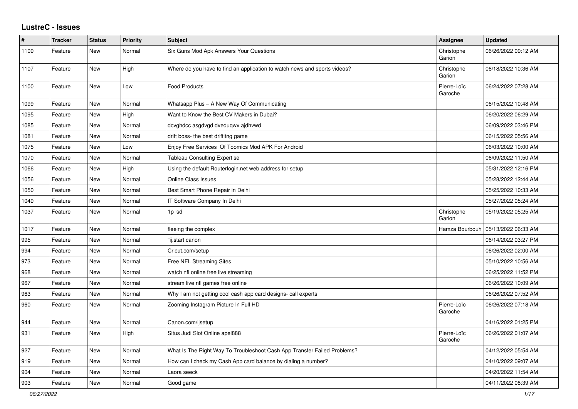## **LustreC - Issues**

| #    | <b>Tracker</b> | <b>Status</b> | <b>Priority</b> | <b>Subject</b>                                                            | Assignee               | <b>Updated</b>      |
|------|----------------|---------------|-----------------|---------------------------------------------------------------------------|------------------------|---------------------|
| 1109 | Feature        | New           | Normal          | Six Guns Mod Apk Answers Your Questions                                   | Christophe<br>Garion   | 06/26/2022 09:12 AM |
| 1107 | Feature        | <b>New</b>    | High            | Where do you have to find an application to watch news and sports videos? | Christophe<br>Garion   | 06/18/2022 10:36 AM |
| 1100 | Feature        | New           | Low             | <b>Food Products</b>                                                      | Pierre-Loïc<br>Garoche | 06/24/2022 07:28 AM |
| 1099 | Feature        | <b>New</b>    | Normal          | Whatsapp Plus - A New Way Of Communicating                                |                        | 06/15/2022 10:48 AM |
| 1095 | Feature        | New           | High            | Want to Know the Best CV Makers in Dubai?                                 |                        | 06/20/2022 06:29 AM |
| 1085 | Feature        | New           | Normal          | dcvghdcc asgdvgd dveduqwv ajdhvwd                                         |                        | 06/09/2022 03:46 PM |
| 1081 | Feature        | New           | Normal          | drift boss- the best driftitng game                                       |                        | 06/15/2022 05:56 AM |
| 1075 | Feature        | <b>New</b>    | Low             | Enjoy Free Services Of Toomics Mod APK For Android                        |                        | 06/03/2022 10:00 AM |
| 1070 | Feature        | <b>New</b>    | Normal          | <b>Tableau Consulting Expertise</b>                                       |                        | 06/09/2022 11:50 AM |
| 1066 | Feature        | New           | High            | Using the default Routerlogin.net web address for setup                   |                        | 05/31/2022 12:16 PM |
| 1056 | Feature        | New           | Normal          | <b>Online Class Issues</b>                                                |                        | 05/28/2022 12:44 AM |
| 1050 | Feature        | New           | Normal          | Best Smart Phone Repair in Delhi                                          |                        | 05/25/2022 10:33 AM |
| 1049 | Feature        | <b>New</b>    | Normal          | IT Software Company In Delhi                                              |                        | 05/27/2022 05:24 AM |
| 1037 | Feature        | New           | Normal          | 1p Isd                                                                    | Christophe<br>Garion   | 05/19/2022 05:25 AM |
| 1017 | Feature        | <b>New</b>    | Normal          | fleeing the complex                                                       | Hamza Bourbouh         | 05/13/2022 06:33 AM |
| 995  | Feature        | New           | Normal          | "ij.start canon                                                           |                        | 06/14/2022 03:27 PM |
| 994  | Feature        | New           | Normal          | Cricut.com/setup                                                          |                        | 06/26/2022 02:00 AM |
| 973  | Feature        | New           | Normal          | Free NFL Streaming Sites                                                  |                        | 05/10/2022 10:56 AM |
| 968  | Feature        | New           | Normal          | watch nfl online free live streaming                                      |                        | 06/25/2022 11:52 PM |
| 967  | Feature        | <b>New</b>    | Normal          | stream live nfl games free online                                         |                        | 06/26/2022 10:09 AM |
| 963  | Feature        | New           | Normal          | Why I am not getting cool cash app card designs- call experts             |                        | 06/26/2022 07:52 AM |
| 960  | Feature        | New           | Normal          | Zooming Instagram Picture In Full HD                                      | Pierre-Loïc<br>Garoche | 06/26/2022 07:18 AM |
| 944  | Feature        | <b>New</b>    | Normal          | Canon.com/ijsetup                                                         |                        | 04/16/2022 01:25 PM |
| 931  | Feature        | New           | High            | Situs Judi Slot Online apel888                                            | Pierre-Loïc<br>Garoche | 06/26/2022 01:07 AM |
| 927  | Feature        | <b>New</b>    | Normal          | What Is The Right Way To Troubleshoot Cash App Transfer Failed Problems?  |                        | 04/12/2022 05:54 AM |
| 919  | Feature        | <b>New</b>    | Normal          | How can I check my Cash App card balance by dialing a number?             |                        | 04/10/2022 09:07 AM |
| 904  | Feature        | New           | Normal          | Laora seeck                                                               |                        | 04/20/2022 11:54 AM |
| 903  | Feature        | New           | Normal          | Good game                                                                 |                        | 04/11/2022 08:39 AM |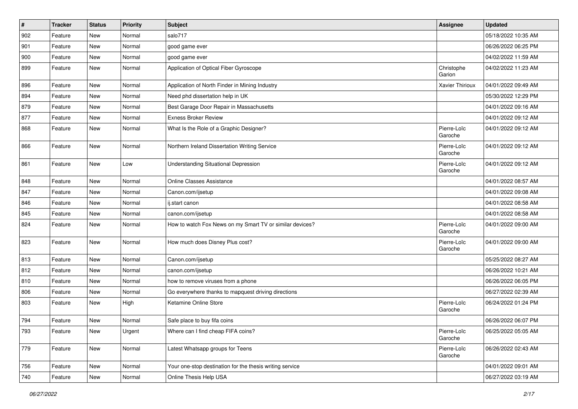| $\vert$ # | Tracker | <b>Status</b> | <b>Priority</b> | Subject                                                  | Assignee               | <b>Updated</b>      |
|-----------|---------|---------------|-----------------|----------------------------------------------------------|------------------------|---------------------|
| 902       | Feature | <b>New</b>    | Normal          | salo717                                                  |                        | 05/18/2022 10:35 AM |
| 901       | Feature | <b>New</b>    | Normal          | good game ever                                           |                        | 06/26/2022 06:25 PM |
| 900       | Feature | New           | Normal          | good game ever                                           |                        | 04/02/2022 11:59 AM |
| 899       | Feature | New           | Normal          | Application of Optical Fiber Gyroscope                   | Christophe<br>Garion   | 04/02/2022 11:23 AM |
| 896       | Feature | <b>New</b>    | Normal          | Application of North Finder in Mining Industry           | Xavier Thirioux        | 04/01/2022 09:49 AM |
| 894       | Feature | <b>New</b>    | Normal          | Need phd dissertation help in UK                         |                        | 05/30/2022 12:29 PM |
| 879       | Feature | New           | Normal          | Best Garage Door Repair in Massachusetts                 |                        | 04/01/2022 09:16 AM |
| 877       | Feature | New           | Normal          | <b>Exness Broker Review</b>                              |                        | 04/01/2022 09:12 AM |
| 868       | Feature | <b>New</b>    | Normal          | What Is the Role of a Graphic Designer?                  | Pierre-Loïc<br>Garoche | 04/01/2022 09:12 AM |
| 866       | Feature | New           | Normal          | Northern Ireland Dissertation Writing Service            | Pierre-Loïc<br>Garoche | 04/01/2022 09:12 AM |
| 861       | Feature | <b>New</b>    | Low             | <b>Understanding Situational Depression</b>              | Pierre-Loïc<br>Garoche | 04/01/2022 09:12 AM |
| 848       | Feature | New           | Normal          | <b>Online Classes Assistance</b>                         |                        | 04/01/2022 08:57 AM |
| 847       | Feature | New           | Normal          | Canon.com/ijsetup                                        |                        | 04/01/2022 09:08 AM |
| 846       | Feature | <b>New</b>    | Normal          | ij.start canon                                           |                        | 04/01/2022 08:58 AM |
| 845       | Feature | New           | Normal          | canon.com/ijsetup                                        |                        | 04/01/2022 08:58 AM |
| 824       | Feature | New           | Normal          | How to watch Fox News on my Smart TV or similar devices? | Pierre-Loïc<br>Garoche | 04/01/2022 09:00 AM |
| 823       | Feature | <b>New</b>    | Normal          | How much does Disney Plus cost?                          | Pierre-Loïc<br>Garoche | 04/01/2022 09:00 AM |
| 813       | Feature | New           | Normal          | Canon.com/ijsetup                                        |                        | 05/25/2022 08:27 AM |
| 812       | Feature | New           | Normal          | canon.com/ijsetup                                        |                        | 06/26/2022 10:21 AM |
| 810       | Feature | <b>New</b>    | Normal          | how to remove viruses from a phone                       |                        | 06/26/2022 06:05 PM |
| 806       | Feature | New           | Normal          | Go everywhere thanks to mapquest driving directions      |                        | 06/27/2022 02:39 AM |
| 803       | Feature | New           | High            | Ketamine Online Store                                    | Pierre-Loïc<br>Garoche | 06/24/2022 01:24 PM |
| 794       | Feature | <b>New</b>    | Normal          | Safe place to buy fifa coins                             |                        | 06/26/2022 06:07 PM |
| 793       | Feature | New           | Urgent          | Where can I find cheap FIFA coins?                       | Pierre-Loïc<br>Garoche | 06/25/2022 05:05 AM |
| 779       | Feature | New           | Normal          | Latest Whatsapp groups for Teens                         | Pierre-Loïc<br>Garoche | 06/26/2022 02:43 AM |
| 756       | Feature | New           | Normal          | Your one-stop destination for the thesis writing service |                        | 04/01/2022 09:01 AM |
| 740       | Feature | New           | Normal          | Online Thesis Help USA                                   |                        | 06/27/2022 03:19 AM |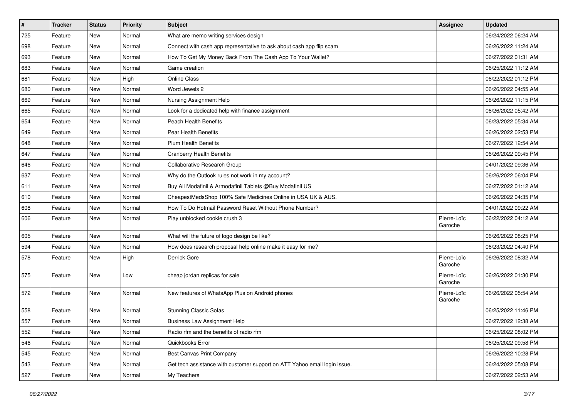| $\vert$ # | <b>Tracker</b> | <b>Status</b> | <b>Priority</b> | <b>Subject</b>                                                            | Assignee               | <b>Updated</b>      |
|-----------|----------------|---------------|-----------------|---------------------------------------------------------------------------|------------------------|---------------------|
| 725       | Feature        | New           | Normal          | What are memo writing services design                                     |                        | 06/24/2022 06:24 AM |
| 698       | Feature        | <b>New</b>    | Normal          | Connect with cash app representative to ask about cash app flip scam      |                        | 06/26/2022 11:24 AM |
| 693       | Feature        | New           | Normal          | How To Get My Money Back From The Cash App To Your Wallet?                |                        | 06/27/2022 01:31 AM |
| 683       | Feature        | <b>New</b>    | Normal          | Game creation                                                             |                        | 06/25/2022 11:12 AM |
| 681       | Feature        | New           | High            | <b>Online Class</b>                                                       |                        | 06/22/2022 01:12 PM |
| 680       | Feature        | New           | Normal          | Word Jewels 2                                                             |                        | 06/26/2022 04:55 AM |
| 669       | Feature        | New           | Normal          | Nursing Assignment Help                                                   |                        | 06/26/2022 11:15 PM |
| 665       | Feature        | New           | Normal          | Look for a dedicated help with finance assignment                         |                        | 06/26/2022 05:42 AM |
| 654       | Feature        | New           | Normal          | <b>Peach Health Benefits</b>                                              |                        | 06/23/2022 05:34 AM |
| 649       | Feature        | New           | Normal          | <b>Pear Health Benefits</b>                                               |                        | 06/26/2022 02:53 PM |
| 648       | Feature        | New           | Normal          | <b>Plum Health Benefits</b>                                               |                        | 06/27/2022 12:54 AM |
| 647       | Feature        | New           | Normal          | <b>Cranberry Health Benefits</b>                                          |                        | 06/26/2022 09:45 PM |
| 646       | Feature        | New           | Normal          | Collaborative Research Group                                              |                        | 04/01/2022 09:36 AM |
| 637       | Feature        | New           | Normal          | Why do the Outlook rules not work in my account?                          |                        | 06/26/2022 06:04 PM |
| 611       | Feature        | <b>New</b>    | Normal          | Buy All Modafinil & Armodafinil Tablets @Buy Modafinil US                 |                        | 06/27/2022 01:12 AM |
| 610       | Feature        | New           | Normal          | CheapestMedsShop 100% Safe Medicines Online in USA UK & AUS.              |                        | 06/26/2022 04:35 PM |
| 608       | Feature        | New           | Normal          | How To Do Hotmail Password Reset Without Phone Number?                    |                        | 04/01/2022 09:22 AM |
| 606       | Feature        | New           | Normal          | Play unblocked cookie crush 3                                             | Pierre-Loïc<br>Garoche | 06/22/2022 04:12 AM |
| 605       | Feature        | New           | Normal          | What will the future of logo design be like?                              |                        | 06/26/2022 08:25 PM |
| 594       | Feature        | New           | Normal          | How does research proposal help online make it easy for me?               |                        | 06/23/2022 04:40 PM |
| 578       | Feature        | New           | High            | Derrick Gore                                                              | Pierre-Loïc<br>Garoche | 06/26/2022 08:32 AM |
| 575       | Feature        | New           | Low             | cheap jordan replicas for sale                                            | Pierre-Loïc<br>Garoche | 06/26/2022 01:30 PM |
| 572       | Feature        | <b>New</b>    | Normal          | New features of WhatsApp Plus on Android phones                           | Pierre-Loïc<br>Garoche | 06/26/2022 05:54 AM |
| 558       | Feature        | New           | Normal          | <b>Stunning Classic Sofas</b>                                             |                        | 06/25/2022 11:46 PM |
| 557       | Feature        | <b>New</b>    | Normal          | <b>Business Law Assignment Help</b>                                       |                        | 06/27/2022 12:38 AM |
| 552       | Feature        | <b>New</b>    | Normal          | Radio rfm and the benefits of radio rfm                                   |                        | 06/25/2022 08:02 PM |
| 546       | Feature        | New           | Normal          | Quickbooks Error                                                          |                        | 06/25/2022 09:58 PM |
| 545       | Feature        | New           | Normal          | Best Canvas Print Company                                                 |                        | 06/26/2022 10:28 PM |
| 543       | Feature        | New           | Normal          | Get tech assistance with customer support on ATT Yahoo email login issue. |                        | 06/24/2022 05:08 PM |
| 527       | Feature        | New           | Normal          | My Teachers                                                               |                        | 06/27/2022 02:53 AM |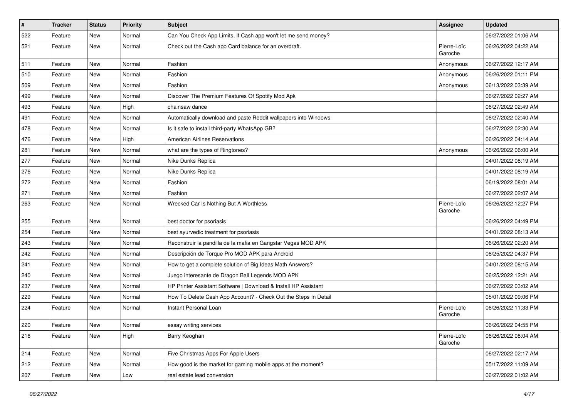| $\vert$ # | <b>Tracker</b> | <b>Status</b> | <b>Priority</b> | <b>Subject</b>                                                  | Assignee               | <b>Updated</b>      |
|-----------|----------------|---------------|-----------------|-----------------------------------------------------------------|------------------------|---------------------|
| 522       | Feature        | New           | Normal          | Can You Check App Limits, If Cash app won't let me send money?  |                        | 06/27/2022 01:06 AM |
| 521       | Feature        | New           | Normal          | Check out the Cash app Card balance for an overdraft.           | Pierre-Loïc<br>Garoche | 06/26/2022 04:22 AM |
| 511       | Feature        | New           | Normal          | Fashion                                                         | Anonymous              | 06/27/2022 12:17 AM |
| 510       | Feature        | <b>New</b>    | Normal          | Fashion                                                         | Anonymous              | 06/26/2022 01:11 PM |
| 509       | Feature        | New           | Normal          | Fashion                                                         | Anonymous              | 06/13/2022 03:39 AM |
| 499       | Feature        | New           | Normal          | Discover The Premium Features Of Spotify Mod Apk                |                        | 06/27/2022 02:27 AM |
| 493       | Feature        | New           | High            | chainsaw dance                                                  |                        | 06/27/2022 02:49 AM |
| 491       | Feature        | New           | Normal          | Automatically download and paste Reddit wallpapers into Windows |                        | 06/27/2022 02:40 AM |
| 478       | Feature        | <b>New</b>    | Normal          | Is it safe to install third-party WhatsApp GB?                  |                        | 06/27/2022 02:30 AM |
| 476       | Feature        | New           | High            | <b>American Airlines Reservations</b>                           |                        | 06/26/2022 04:14 AM |
| 281       | Feature        | New           | Normal          | what are the types of Ringtones?                                | Anonymous              | 06/26/2022 06:00 AM |
| 277       | Feature        | New           | Normal          | Nike Dunks Replica                                              |                        | 04/01/2022 08:19 AM |
| 276       | Feature        | <b>New</b>    | Normal          | Nike Dunks Replica                                              |                        | 04/01/2022 08:19 AM |
| 272       | Feature        | <b>New</b>    | Normal          | Fashion                                                         |                        | 06/19/2022 08:01 AM |
| 271       | Feature        | New           | Normal          | Fashion                                                         |                        | 06/27/2022 02:07 AM |
| 263       | Feature        | New           | Normal          | Wrecked Car Is Nothing But A Worthless                          | Pierre-Loïc<br>Garoche | 06/26/2022 12:27 PM |
| 255       | Feature        | New           | Normal          | best doctor for psoriasis                                       |                        | 06/26/2022 04:49 PM |
| 254       | Feature        | New           | Normal          | best ayurvedic treatment for psoriasis                          |                        | 04/01/2022 08:13 AM |
| 243       | Feature        | New           | Normal          | Reconstruir la pandilla de la mafia en Gangstar Vegas MOD APK   |                        | 06/26/2022 02:20 AM |
| 242       | Feature        | New           | Normal          | Descripción de Torque Pro MOD APK para Android                  |                        | 06/25/2022 04:37 PM |
| 241       | Feature        | New           | Normal          | How to get a complete solution of Big Ideas Math Answers?       |                        | 04/01/2022 08:15 AM |
| 240       | Feature        | New           | Normal          | Juego interesante de Dragon Ball Legends MOD APK                |                        | 06/25/2022 12:21 AM |
| 237       | Feature        | New           | Normal          | HP Printer Assistant Software   Download & Install HP Assistant |                        | 06/27/2022 03:02 AM |
| 229       | Feature        | New           | Normal          | How To Delete Cash App Account? - Check Out the Steps In Detail |                        | 05/01/2022 09:06 PM |
| 224       | Feature        | New           | Normal          | Instant Personal Loan                                           | Pierre-Loïc<br>Garoche | 06/26/2022 11:33 PM |
| 220       | Feature        | New           | Normal          | essay writing services                                          |                        | 06/26/2022 04:55 PM |
| 216       | Feature        | New           | High            | Barry Keoghan                                                   | Pierre-Loïc<br>Garoche | 06/26/2022 08:04 AM |
| 214       | Feature        | New           | Normal          | Five Christmas Apps For Apple Users                             |                        | 06/27/2022 02:17 AM |
| 212       | Feature        | New           | Normal          | How good is the market for gaming mobile apps at the moment?    |                        | 05/17/2022 11:09 AM |
| 207       | Feature        | New           | Low             | real estate lead conversion                                     |                        | 06/27/2022 01:02 AM |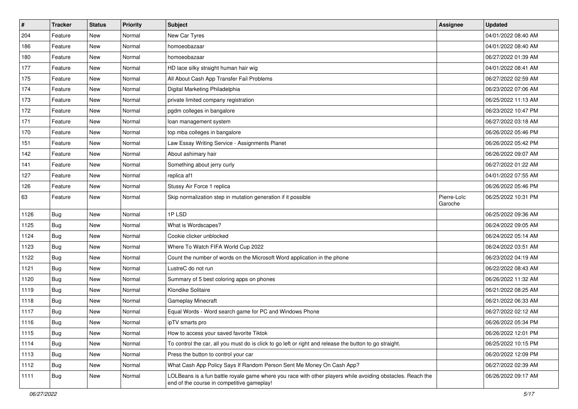| #    | Tracker    | <b>Status</b> | <b>Priority</b> | Subject                                                                                                                                                  | <b>Assignee</b>        | <b>Updated</b>      |
|------|------------|---------------|-----------------|----------------------------------------------------------------------------------------------------------------------------------------------------------|------------------------|---------------------|
| 204  | Feature    | New           | Normal          | New Car Tyres                                                                                                                                            |                        | 04/01/2022 08:40 AM |
| 186  | Feature    | <b>New</b>    | Normal          | homoeobazaar                                                                                                                                             |                        | 04/01/2022 08:40 AM |
| 180  | Feature    | New           | Normal          | homoeobazaar                                                                                                                                             |                        | 06/27/2022 01:39 AM |
| 177  | Feature    | New           | Normal          | HD lace silky straight human hair wig                                                                                                                    |                        | 04/01/2022 08:41 AM |
| 175  | Feature    | <b>New</b>    | Normal          | All About Cash App Transfer Fail Problems                                                                                                                |                        | 06/27/2022 02:59 AM |
| 174  | Feature    | New           | Normal          | Digital Marketing Philadelphia                                                                                                                           |                        | 06/23/2022 07:06 AM |
| 173  | Feature    | <b>New</b>    | Normal          | private limited company registration                                                                                                                     |                        | 06/25/2022 11:13 AM |
| 172  | Feature    | New           | Normal          | pgdm colleges in bangalore                                                                                                                               |                        | 06/23/2022 10:47 PM |
| 171  | Feature    | New           | Normal          | loan management system                                                                                                                                   |                        | 06/27/2022 03:18 AM |
| 170  | Feature    | <b>New</b>    | Normal          | top mba colleges in bangalore                                                                                                                            |                        | 06/26/2022 05:46 PM |
| 151  | Feature    | <b>New</b>    | Normal          | Law Essay Writing Service - Assignments Planet                                                                                                           |                        | 06/26/2022 05:42 PM |
| 142  | Feature    | New           | Normal          | About ashimary hair                                                                                                                                      |                        | 06/26/2022 09:07 AM |
| 141  | Feature    | New           | Normal          | Something about jerry curly                                                                                                                              |                        | 06/27/2022 01:22 AM |
| 127  | Feature    | New           | Normal          | replica af1                                                                                                                                              |                        | 04/01/2022 07:55 AM |
| 126  | Feature    | <b>New</b>    | Normal          | Stussy Air Force 1 replica                                                                                                                               |                        | 06/26/2022 05:46 PM |
| 63   | Feature    | New           | Normal          | Skip normalization step in mutation generation if it possible                                                                                            | Pierre-Loïc<br>Garoche | 06/25/2022 10:31 PM |
| 1126 | Bug        | <b>New</b>    | Normal          | 1PLSD                                                                                                                                                    |                        | 06/25/2022 09:36 AM |
| 1125 | <b>Bug</b> | New           | Normal          | What is Wordscapes?                                                                                                                                      |                        | 06/24/2022 09:05 AM |
| 1124 | <b>Bug</b> | New           | Normal          | Cookie clicker unblocked                                                                                                                                 |                        | 06/24/2022 05:14 AM |
| 1123 | Bug        | New           | Normal          | Where To Watch FIFA World Cup 2022                                                                                                                       |                        | 06/24/2022 03:51 AM |
| 1122 | <b>Bug</b> | <b>New</b>    | Normal          | Count the number of words on the Microsoft Word application in the phone                                                                                 |                        | 06/23/2022 04:19 AM |
| 1121 | Bug        | <b>New</b>    | Normal          | LustreC do not run                                                                                                                                       |                        | 06/22/2022 08:43 AM |
| 1120 | <b>Bug</b> | New           | Normal          | Summary of 5 best coloring apps on phones                                                                                                                |                        | 06/26/2022 11:32 AM |
| 1119 | <b>Bug</b> | New           | Normal          | Klondike Solitaire                                                                                                                                       |                        | 06/21/2022 08:25 AM |
| 1118 | Bug        | New           | Normal          | <b>Gameplay Minecraft</b>                                                                                                                                |                        | 06/21/2022 06:33 AM |
| 1117 | Bug        | New           | Normal          | Equal Words - Word search game for PC and Windows Phone                                                                                                  |                        | 06/27/2022 02:12 AM |
| 1116 | <b>Bug</b> | New           | Normal          | ipTV smarts pro                                                                                                                                          |                        | 06/26/2022 05:34 PM |
| 1115 | <b>Bug</b> | <b>New</b>    | Normal          | How to access your saved favorite Tiktok                                                                                                                 |                        | 06/26/2022 12:01 PM |
| 1114 | Bug        | New           | Normal          | To control the car, all you must do is click to go left or right and release the button to go straight.                                                  |                        | 06/25/2022 10:15 PM |
| 1113 | <b>Bug</b> | New           | Normal          | Press the button to control your car                                                                                                                     |                        | 06/20/2022 12:09 PM |
| 1112 | Bug        | New           | Normal          | What Cash App Policy Says If Random Person Sent Me Money On Cash App?                                                                                    |                        | 06/27/2022 02:39 AM |
| 1111 | <b>Bug</b> | New           | Normal          | LOLBeans is a fun battle royale game where you race with other players while avoiding obstacles. Reach the<br>end of the course in competitive gameplay! |                        | 06/26/2022 09:17 AM |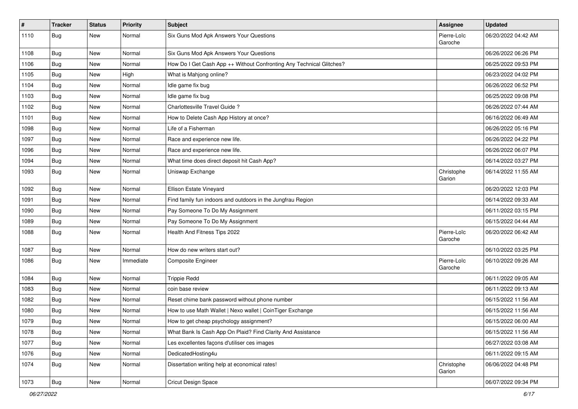| $\sharp$ | Tracker    | <b>Status</b> | <b>Priority</b> | Subject                                                              | Assignee               | <b>Updated</b>      |
|----------|------------|---------------|-----------------|----------------------------------------------------------------------|------------------------|---------------------|
| 1110     | <b>Bug</b> | New           | Normal          | Six Guns Mod Apk Answers Your Questions                              | Pierre-Loïc<br>Garoche | 06/20/2022 04:42 AM |
| 1108     | Bug        | New           | Normal          | Six Guns Mod Apk Answers Your Questions                              |                        | 06/26/2022 06:26 PM |
| 1106     | <b>Bug</b> | <b>New</b>    | Normal          | How Do I Get Cash App ++ Without Confronting Any Technical Glitches? |                        | 06/25/2022 09:53 PM |
| 1105     | Bug        | <b>New</b>    | High            | What is Mahjong online?                                              |                        | 06/23/2022 04:02 PM |
| 1104     | <b>Bug</b> | New           | Normal          | Idle game fix bug                                                    |                        | 06/26/2022 06:52 PM |
| 1103     | Bug        | New           | Normal          | Idle game fix bug                                                    |                        | 06/25/2022 09:08 PM |
| 1102     | <b>Bug</b> | New           | Normal          | Charlottesville Travel Guide?                                        |                        | 06/26/2022 07:44 AM |
| 1101     | <b>Bug</b> | <b>New</b>    | Normal          | How to Delete Cash App History at once?                              |                        | 06/16/2022 06:49 AM |
| 1098     | <b>Bug</b> | New           | Normal          | Life of a Fisherman                                                  |                        | 06/26/2022 05:16 PM |
| 1097     | <b>Bug</b> | New           | Normal          | Race and experience new life.                                        |                        | 06/26/2022 04:22 PM |
| 1096     | Bug        | New           | Normal          | Race and experience new life.                                        |                        | 06/26/2022 06:07 PM |
| 1094     | <b>Bug</b> | <b>New</b>    | Normal          | What time does direct deposit hit Cash App?                          |                        | 06/14/2022 03:27 PM |
| 1093     | Bug        | New           | Normal          | Uniswap Exchange                                                     | Christophe<br>Garion   | 06/14/2022 11:55 AM |
| 1092     | Bug        | New           | Normal          | Ellison Estate Vineyard                                              |                        | 06/20/2022 12:03 PM |
| 1091     | Bug        | <b>New</b>    | Normal          | Find family fun indoors and outdoors in the Jungfrau Region          |                        | 06/14/2022 09:33 AM |
| 1090     | Bug        | <b>New</b>    | Normal          | Pay Someone To Do My Assignment                                      |                        | 06/11/2022 03:15 PM |
| 1089     | <b>Bug</b> | New           | Normal          | Pay Someone To Do My Assignment                                      |                        | 06/15/2022 04:44 AM |
| 1088     | <b>Bug</b> | New           | Normal          | Health And Fitness Tips 2022                                         | Pierre-Loïc<br>Garoche | 06/20/2022 06:42 AM |
| 1087     | Bug        | <b>New</b>    | Normal          | How do new writers start out?                                        |                        | 06/10/2022 03:25 PM |
| 1086     | Bug        | New           | Immediate       | <b>Composite Engineer</b>                                            | Pierre-Loïc<br>Garoche | 06/10/2022 09:26 AM |
| 1084     | Bug        | <b>New</b>    | Normal          | <b>Trippie Redd</b>                                                  |                        | 06/11/2022 09:05 AM |
| 1083     | Bug        | New           | Normal          | coin base review                                                     |                        | 06/11/2022 09:13 AM |
| 1082     | <b>Bug</b> | New           | Normal          | Reset chime bank password without phone number                       |                        | 06/15/2022 11:56 AM |
| 1080     | Bug        | New           | Normal          | How to use Math Wallet   Nexo wallet   CoinTiger Exchange            |                        | 06/15/2022 11:56 AM |
| 1079     | Bug        | New           | Normal          | How to get cheap psychology assignment?                              |                        | 06/15/2022 06:00 AM |
| 1078     | <b>Bug</b> | New           | Normal          | What Bank Is Cash App On Plaid? Find Clarity And Assistance          |                        | 06/15/2022 11:56 AM |
| 1077     | <b>Bug</b> | New           | Normal          | Les excellentes façons d'utiliser ces images                         |                        | 06/27/2022 03:08 AM |
| 1076     | <b>Bug</b> | New           | Normal          | DedicatedHosting4u                                                   |                        | 06/11/2022 09:15 AM |
| 1074     | <b>Bug</b> | New           | Normal          | Dissertation writing help at economical rates!                       | Christophe<br>Garion   | 06/06/2022 04:48 PM |
| 1073     | <b>Bug</b> | New           | Normal          | Cricut Design Space                                                  |                        | 06/07/2022 09:34 PM |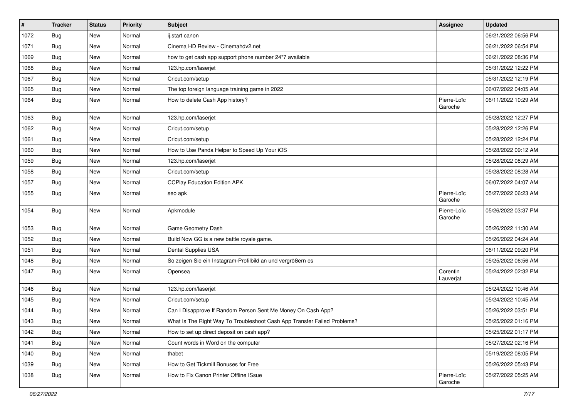| $\vert$ # | <b>Tracker</b> | <b>Status</b> | <b>Priority</b> | <b>Subject</b>                                                           | <b>Assignee</b>        | <b>Updated</b>      |
|-----------|----------------|---------------|-----------------|--------------------------------------------------------------------------|------------------------|---------------------|
| 1072      | <b>Bug</b>     | New           | Normal          | ij.start canon                                                           |                        | 06/21/2022 06:56 PM |
| 1071      | Bug            | New           | Normal          | Cinema HD Review - Cinemahdy2.net                                        |                        | 06/21/2022 06:54 PM |
| 1069      | Bug            | New           | Normal          | how to get cash app support phone number 24*7 available                  |                        | 06/21/2022 08:36 PM |
| 1068      | <b>Bug</b>     | New           | Normal          | 123.hp.com/laserjet                                                      |                        | 05/31/2022 12:22 PM |
| 1067      | Bug            | <b>New</b>    | Normal          | Cricut.com/setup                                                         |                        | 05/31/2022 12:19 PM |
| 1065      | <b>Bug</b>     | New           | Normal          | The top foreign language training game in 2022                           |                        | 06/07/2022 04:05 AM |
| 1064      | Bug            | New           | Normal          | How to delete Cash App history?                                          | Pierre-Loïc<br>Garoche | 06/11/2022 10:29 AM |
| 1063      | Bug            | <b>New</b>    | Normal          | 123.hp.com/laserjet                                                      |                        | 05/28/2022 12:27 PM |
| 1062      | <b>Bug</b>     | New           | Normal          | Cricut.com/setup                                                         |                        | 05/28/2022 12:26 PM |
| 1061      | Bug            | New           | Normal          | Cricut.com/setup                                                         |                        | 05/28/2022 12:24 PM |
| 1060      | Bug            | New           | Normal          | How to Use Panda Helper to Speed Up Your iOS                             |                        | 05/28/2022 09:12 AM |
| 1059      | Bug            | <b>New</b>    | Normal          | 123.hp.com/laserjet                                                      |                        | 05/28/2022 08:29 AM |
| 1058      | <b>Bug</b>     | New           | Normal          | Cricut.com/setup                                                         |                        | 05/28/2022 08:28 AM |
| 1057      | Bug            | New           | Normal          | <b>CCPlay Education Edition APK</b>                                      |                        | 06/07/2022 04:07 AM |
| 1055      | Bug            | New           | Normal          | seo apk                                                                  | Pierre-Loïc<br>Garoche | 05/27/2022 06:23 AM |
| 1054      | <b>Bug</b>     | New           | Normal          | Apkmodule                                                                | Pierre-Loïc<br>Garoche | 05/26/2022 03:37 PM |
| 1053      | <b>Bug</b>     | <b>New</b>    | Normal          | Game Geometry Dash                                                       |                        | 05/26/2022 11:30 AM |
| 1052      | Bug            | <b>New</b>    | Normal          | Build Now GG is a new battle royale game.                                |                        | 05/26/2022 04:24 AM |
| 1051      | <b>Bug</b>     | New           | Normal          | Dental Supplies USA                                                      |                        | 06/11/2022 09:20 PM |
| 1048      | Bug            | New           | Normal          | So zeigen Sie ein Instagram-Profilbild an und vergrößern es              |                        | 05/25/2022 06:56 AM |
| 1047      | <b>Bug</b>     | New           | Normal          | Opensea                                                                  | Corentin<br>Lauverjat  | 05/24/2022 02:32 PM |
| 1046      | Bug            | <b>New</b>    | Normal          | 123.hp.com/laserjet                                                      |                        | 05/24/2022 10:46 AM |
| 1045      | <b>Bug</b>     | New           | Normal          | Cricut.com/setup                                                         |                        | 05/24/2022 10:45 AM |
| 1044      | <b>Bug</b>     | New           | Normal          | Can I Disapprove If Random Person Sent Me Money On Cash App?             |                        | 05/26/2022 03:51 PM |
| 1043      | <b>Bug</b>     | <b>New</b>    | Normal          | What Is The Right Way To Troubleshoot Cash App Transfer Failed Problems? |                        | 05/25/2022 01:16 PM |
| 1042      | Bug            | New           | Normal          | How to set up direct deposit on cash app?                                |                        | 05/25/2022 01:17 PM |
| 1041      | <b>Bug</b>     | New           | Normal          | Count words in Word on the computer                                      |                        | 05/27/2022 02:16 PM |
| 1040      | Bug            | New           | Normal          | thabet                                                                   |                        | 05/19/2022 08:05 PM |
| 1039      | Bug            | New           | Normal          | How to Get Tickmill Bonuses for Free                                     |                        | 05/26/2022 05:43 PM |
| 1038      | <b>Bug</b>     | New           | Normal          | How to Fix Canon Printer Offline ISsue                                   | Pierre-Loïc<br>Garoche | 05/27/2022 05:25 AM |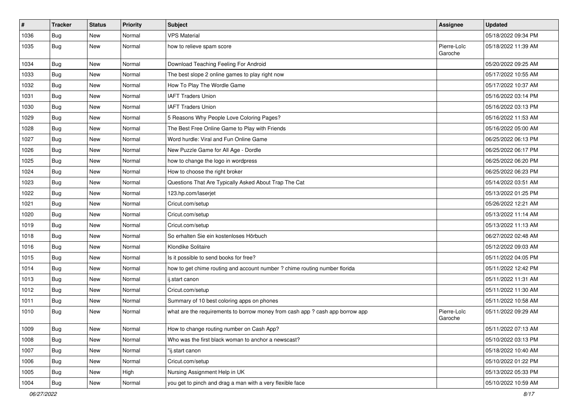| $\vert$ # | <b>Tracker</b> | <b>Status</b> | <b>Priority</b> | <b>Subject</b>                                                                | <b>Assignee</b>        | <b>Updated</b>      |
|-----------|----------------|---------------|-----------------|-------------------------------------------------------------------------------|------------------------|---------------------|
| 1036      | <b>Bug</b>     | New           | Normal          | <b>VPS Material</b>                                                           |                        | 05/18/2022 09:34 PM |
| 1035      | Bug            | New           | Normal          | how to relieve spam score                                                     | Pierre-Loïc<br>Garoche | 05/18/2022 11:39 AM |
| 1034      | <b>Bug</b>     | New           | Normal          | Download Teaching Feeling For Android                                         |                        | 05/20/2022 09:25 AM |
| 1033      | Bug            | New           | Normal          | The best slope 2 online games to play right now                               |                        | 05/17/2022 10:55 AM |
| 1032      | <b>Bug</b>     | New           | Normal          | How To Play The Wordle Game                                                   |                        | 05/17/2022 10:37 AM |
| 1031      | Bug            | New           | Normal          | <b>IAFT Traders Union</b>                                                     |                        | 05/16/2022 03:14 PM |
| 1030      | <b>Bug</b>     | New           | Normal          | <b>IAFT Traders Union</b>                                                     |                        | 05/16/2022 03:13 PM |
| 1029      | <b>Bug</b>     | New           | Normal          | 5 Reasons Why People Love Coloring Pages?                                     |                        | 05/16/2022 11:53 AM |
| 1028      | Bug            | <b>New</b>    | Normal          | The Best Free Online Game to Play with Friends                                |                        | 05/16/2022 05:00 AM |
| 1027      | Bug            | New           | Normal          | Word hurdle: Viral and Fun Online Game                                        |                        | 06/25/2022 06:13 PM |
| 1026      | <b>Bug</b>     | New           | Normal          | New Puzzle Game for All Age - Dordle                                          |                        | 06/25/2022 06:17 PM |
| 1025      | <b>Bug</b>     | New           | Normal          | how to change the logo in wordpress                                           |                        | 06/25/2022 06:20 PM |
| 1024      | <b>Bug</b>     | New           | Normal          | How to choose the right broker                                                |                        | 06/25/2022 06:23 PM |
| 1023      | <b>Bug</b>     | New           | Normal          | Questions That Are Typically Asked About Trap The Cat                         |                        | 05/14/2022 03:51 AM |
| 1022      | Bug            | New           | Normal          | 123.hp.com/laserjet                                                           |                        | 05/13/2022 01:25 PM |
| 1021      | Bug            | New           | Normal          | Cricut.com/setup                                                              |                        | 05/26/2022 12:21 AM |
| 1020      | Bug            | New           | Normal          | Cricut.com/setup                                                              |                        | 05/13/2022 11:14 AM |
| 1019      | <b>Bug</b>     | New           | Normal          | Cricut.com/setup                                                              |                        | 05/13/2022 11:13 AM |
| 1018      | Bug            | New           | Normal          | So erhalten Sie ein kostenloses Hörbuch                                       |                        | 06/27/2022 02:48 AM |
| 1016      | Bug            | New           | Normal          | Klondike Solitaire                                                            |                        | 05/12/2022 09:03 AM |
| 1015      | <b>Bug</b>     | New           | Normal          | Is it possible to send books for free?                                        |                        | 05/11/2022 04:05 PM |
| 1014      | Bug            | New           | Normal          | how to get chime routing and account number ? chime routing number florida    |                        | 05/11/2022 12:42 PM |
| 1013      | <b>Bug</b>     | New           | Normal          | ij.start canon                                                                |                        | 05/11/2022 11:31 AM |
| 1012      | <b>Bug</b>     | New           | Normal          | Cricut.com/setup                                                              |                        | 05/11/2022 11:30 AM |
| 1011      | <b>Bug</b>     | New           | Normal          | Summary of 10 best coloring apps on phones                                    |                        | 05/11/2022 10:58 AM |
| 1010      | <b>Bug</b>     | New           | Normal          | what are the requirements to borrow money from cash app ? cash app borrow app | Pierre-Loïc<br>Garoche | 05/11/2022 09:29 AM |
| 1009      | <b>Bug</b>     | New           | Normal          | How to change routing number on Cash App?                                     |                        | 05/11/2022 07:13 AM |
| 1008      | Bug            | New           | Normal          | Who was the first black woman to anchor a newscast?                           |                        | 05/10/2022 03:13 PM |
| 1007      | <b>Bug</b>     | New           | Normal          | "ij.start canon                                                               |                        | 05/18/2022 10:40 AM |
| 1006      | <b>Bug</b>     | New           | Normal          | Cricut.com/setup                                                              |                        | 05/10/2022 01:22 PM |
| 1005      | <b>Bug</b>     | New           | High            | Nursing Assignment Help in UK                                                 |                        | 05/13/2022 05:33 PM |
| 1004      | <b>Bug</b>     | New           | Normal          | you get to pinch and drag a man with a very flexible face                     |                        | 05/10/2022 10:59 AM |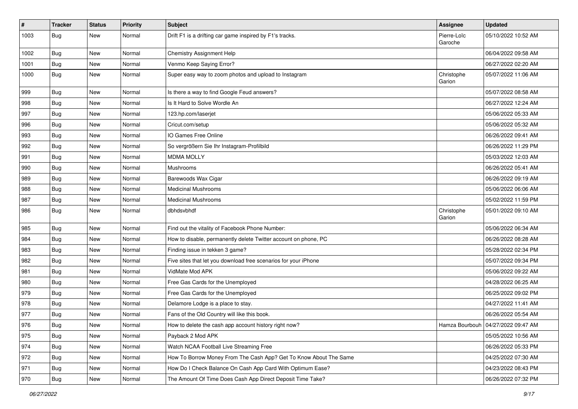| #    | <b>Tracker</b> | <b>Status</b> | <b>Priority</b> | Subject                                                           | Assignee               | <b>Updated</b>                       |
|------|----------------|---------------|-----------------|-------------------------------------------------------------------|------------------------|--------------------------------------|
| 1003 | <b>Bug</b>     | New           | Normal          | Drift F1 is a drifting car game inspired by F1's tracks.          | Pierre-Loïc<br>Garoche | 05/10/2022 10:52 AM                  |
| 1002 | <b>Bug</b>     | New           | Normal          | Chemistry Assignment Help                                         |                        | 06/04/2022 09:58 AM                  |
| 1001 | Bug            | New           | Normal          | Venmo Keep Saying Error?                                          |                        | 06/27/2022 02:20 AM                  |
| 1000 | <b>Bug</b>     | New           | Normal          | Super easy way to zoom photos and upload to Instagram             | Christophe<br>Garion   | 05/07/2022 11:06 AM                  |
| 999  | <b>Bug</b>     | New           | Normal          | Is there a way to find Google Feud answers?                       |                        | 05/07/2022 08:58 AM                  |
| 998  | <b>Bug</b>     | New           | Normal          | Is It Hard to Solve Wordle An                                     |                        | 06/27/2022 12:24 AM                  |
| 997  | <b>Bug</b>     | New           | Normal          | 123.hp.com/laserjet                                               |                        | 05/06/2022 05:33 AM                  |
| 996  | Bug            | <b>New</b>    | Normal          | Cricut.com/setup                                                  |                        | 05/06/2022 05:32 AM                  |
| 993  | <b>Bug</b>     | New           | Normal          | IO Games Free Online                                              |                        | 06/26/2022 09:41 AM                  |
| 992  | <b>Bug</b>     | New           | Normal          | So vergrößern Sie Ihr Instagram-Profilbild                        |                        | 06/26/2022 11:29 PM                  |
| 991  | Bug            | New           | Normal          | <b>MDMA MOLLY</b>                                                 |                        | 05/03/2022 12:03 AM                  |
| 990  | <b>Bug</b>     | New           | Normal          | Mushrooms                                                         |                        | 06/26/2022 05:41 AM                  |
| 989  | Bug            | New           | Normal          | Barewoods Wax Cigar                                               |                        | 06/26/2022 09:19 AM                  |
| 988  | <b>Bug</b>     | New           | Normal          | <b>Medicinal Mushrooms</b>                                        |                        | 05/06/2022 06:06 AM                  |
| 987  | <b>Bug</b>     | New           | Normal          | <b>Medicinal Mushrooms</b>                                        |                        | 05/02/2022 11:59 PM                  |
| 986  | <b>Bug</b>     | New           | Normal          | dbhdsvbhdf                                                        | Christophe<br>Garion   | 05/01/2022 09:10 AM                  |
| 985  | <b>Bug</b>     | <b>New</b>    | Normal          | Find out the vitality of Facebook Phone Number:                   |                        | 05/06/2022 06:34 AM                  |
| 984  | Bug            | New           | Normal          | How to disable, permanently delete Twitter account on phone, PC   |                        | 06/26/2022 08:28 AM                  |
| 983  | <b>Bug</b>     | New           | Normal          | Finding issue in tekken 3 game?                                   |                        | 05/28/2022 02:34 PM                  |
| 982  | Bug            | <b>New</b>    | Normal          | Five sites that let you download free scenarios for your iPhone   |                        | 05/07/2022 09:34 PM                  |
| 981  | <b>Bug</b>     | New           | Normal          | VidMate Mod APK                                                   |                        | 05/06/2022 09:22 AM                  |
| 980  | Bug            | New           | Normal          | Free Gas Cards for the Unemployed                                 |                        | 04/28/2022 06:25 AM                  |
| 979  | <b>Bug</b>     | New           | Normal          | Free Gas Cards for the Unemployed                                 |                        | 06/25/2022 09:02 PM                  |
| 978  | <b>Bug</b>     | New           | Normal          | Delamore Lodge is a place to stay.                                |                        | 04/27/2022 11:41 AM                  |
| 977  | <b>Bug</b>     | New           | Normal          | Fans of the Old Country will like this book.                      |                        | 06/26/2022 05:54 AM                  |
| 976  | Bug            | New           | Normal          | How to delete the cash app account history right now?             |                        | Hamza Bourbouh   04/27/2022 09:47 AM |
| 975  | Bug            | New           | Normal          | Payback 2 Mod APK                                                 |                        | 05/05/2022 10:56 AM                  |
| 974  | <b>Bug</b>     | <b>New</b>    | Normal          | Watch NCAA Football Live Streaming Free                           |                        | 06/26/2022 05:33 PM                  |
| 972  | <b>Bug</b>     | New           | Normal          | How To Borrow Money From The Cash App? Get To Know About The Same |                        | 04/25/2022 07:30 AM                  |
| 971  | <b>Bug</b>     | New           | Normal          | How Do I Check Balance On Cash App Card With Optimum Ease?        |                        | 04/23/2022 08:43 PM                  |
| 970  | <b>Bug</b>     | New           | Normal          | The Amount Of Time Does Cash App Direct Deposit Time Take?        |                        | 06/26/2022 07:32 PM                  |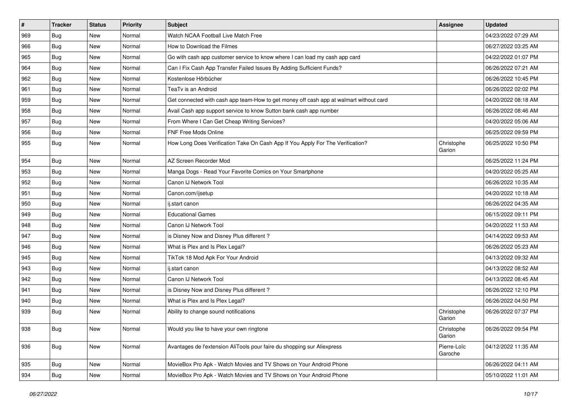| $\sharp$ | <b>Tracker</b> | <b>Status</b> | <b>Priority</b> | <b>Subject</b>                                                                         | <b>Assignee</b>        | <b>Updated</b>      |
|----------|----------------|---------------|-----------------|----------------------------------------------------------------------------------------|------------------------|---------------------|
| 969      | <b>Bug</b>     | New           | Normal          | Watch NCAA Football Live Match Free                                                    |                        | 04/23/2022 07:29 AM |
| 966      | Bug            | New           | Normal          | How to Download the Filmes                                                             |                        | 06/27/2022 03:25 AM |
| 965      | <b>Bug</b>     | New           | Normal          | Go with cash app customer service to know where I can load my cash app card            |                        | 04/22/2022 01:07 PM |
| 964      | <b>Bug</b>     | New           | Normal          | Can I Fix Cash App Transfer Failed Issues By Adding Sufficient Funds?                  |                        | 06/26/2022 07:21 AM |
| 962      | Bug            | <b>New</b>    | Normal          | Kostenlose Hörbücher                                                                   |                        | 06/26/2022 10:45 PM |
| 961      | <b>Bug</b>     | New           | Normal          | TeaTv is an Android                                                                    |                        | 06/26/2022 02:02 PM |
| 959      | Bug            | New           | Normal          | Get connected with cash app team-How to get money off cash app at walmart without card |                        | 04/20/2022 08:18 AM |
| 958      | <b>Bug</b>     | New           | Normal          | Avail Cash app support service to know Sutton bank cash app number                     |                        | 06/26/2022 08:46 AM |
| 957      | <b>Bug</b>     | New           | Normal          | From Where I Can Get Cheap Writing Services?                                           |                        | 04/20/2022 05:06 AM |
| 956      | Bug            | New           | Normal          | FNF Free Mods Online                                                                   |                        | 06/25/2022 09:59 PM |
| 955      | <b>Bug</b>     | New           | Normal          | How Long Does Verification Take On Cash App If You Apply For The Verification?         | Christophe<br>Garion   | 06/25/2022 10:50 PM |
| 954      | Bug            | <b>New</b>    | Normal          | AZ Screen Recorder Mod                                                                 |                        | 06/25/2022 11:24 PM |
| 953      | <b>Bug</b>     | New           | Normal          | Manga Dogs - Read Your Favorite Comics on Your Smartphone                              |                        | 04/20/2022 05:25 AM |
| 952      | <b>Bug</b>     | New           | Normal          | Canon IJ Network Tool                                                                  |                        | 06/26/2022 10:35 AM |
| 951      | <b>Bug</b>     | New           | Normal          | Canon.com/ijsetup                                                                      |                        | 04/20/2022 10:18 AM |
| 950      | Bug            | <b>New</b>    | Normal          | ij.start canon                                                                         |                        | 06/26/2022 04:35 AM |
| 949      | Bug            | <b>New</b>    | Normal          | <b>Educational Games</b>                                                               |                        | 06/15/2022 09:11 PM |
| 948      | <b>Bug</b>     | New           | Normal          | Canon IJ Network Tool                                                                  |                        | 04/20/2022 11:53 AM |
| 947      | Bug            | New           | Normal          | is Disney Now and Disney Plus different?                                               |                        | 04/14/2022 09:53 AM |
| 946      | Bug            | <b>New</b>    | Normal          | What is Plex and Is Plex Legal?                                                        |                        | 06/26/2022 05:23 AM |
| 945      | <b>Bug</b>     | New           | Normal          | TikTok 18 Mod Apk For Your Android                                                     |                        | 04/13/2022 09:32 AM |
| 943      | <b>Bug</b>     | New           | Normal          | ij.start canon                                                                         |                        | 04/13/2022 08:52 AM |
| 942      | <b>Bug</b>     | New           | Normal          | Canon IJ Network Tool                                                                  |                        | 04/13/2022 08:45 AM |
| 941      | <b>Bug</b>     | New           | Normal          | is Disney Now and Disney Plus different?                                               |                        | 06/26/2022 12:10 PM |
| 940      | <b>Bug</b>     | <b>New</b>    | Normal          | What is Plex and Is Plex Legal?                                                        |                        | 06/26/2022 04:50 PM |
| 939      | <b>Bug</b>     | New           | Normal          | Ability to change sound notifications                                                  | Christophe<br>Garion   | 06/26/2022 07:37 PM |
| 938      | <b>Bug</b>     | New           | Normal          | Would you like to have your own ringtone                                               | Christophe<br>Garion   | 06/26/2022 09:54 PM |
| 936      | <b>Bug</b>     | New           | Normal          | Avantages de l'extension AliTools pour faire du shopping sur Aliexpress                | Pierre-Loïc<br>Garoche | 04/12/2022 11:35 AM |
| 935      | <b>Bug</b>     | New           | Normal          | MovieBox Pro Apk - Watch Movies and TV Shows on Your Android Phone                     |                        | 06/26/2022 04:11 AM |
| 934      | Bug            | New           | Normal          | MovieBox Pro Apk - Watch Movies and TV Shows on Your Android Phone                     |                        | 05/10/2022 11:01 AM |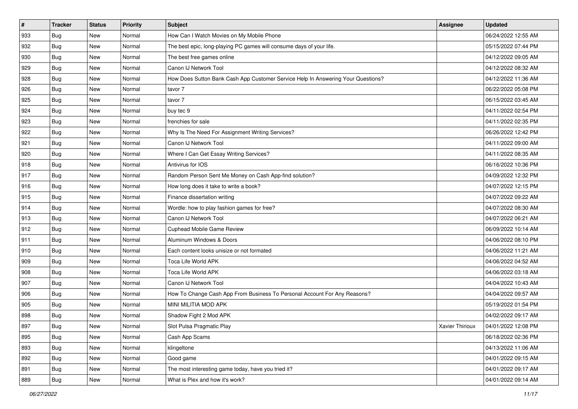| #   | <b>Tracker</b> | <b>Status</b> | <b>Priority</b> | <b>Subject</b>                                                                   | Assignee        | <b>Updated</b>      |
|-----|----------------|---------------|-----------------|----------------------------------------------------------------------------------|-----------------|---------------------|
| 933 | <b>Bug</b>     | New           | Normal          | How Can I Watch Movies on My Mobile Phone                                        |                 | 06/24/2022 12:55 AM |
| 932 | <b>Bug</b>     | <b>New</b>    | Normal          | The best epic, long-playing PC games will consume days of your life.             |                 | 05/15/2022 07:44 PM |
| 930 | Bug            | New           | Normal          | The best free games online                                                       |                 | 04/12/2022 09:05 AM |
| 929 | <b>Bug</b>     | New           | Normal          | Canon IJ Network Tool                                                            |                 | 04/12/2022 08:32 AM |
| 928 | <b>Bug</b>     | <b>New</b>    | Normal          | How Does Sutton Bank Cash App Customer Service Help In Answering Your Questions? |                 | 04/12/2022 11:36 AM |
| 926 | <b>Bug</b>     | New           | Normal          | tavor 7                                                                          |                 | 06/22/2022 05:08 PM |
| 925 | Bug            | New           | Normal          | tavor 7                                                                          |                 | 06/15/2022 03:45 AM |
| 924 | <b>Bug</b>     | New           | Normal          | buy tec 9                                                                        |                 | 04/11/2022 02:54 PM |
| 923 | <b>Bug</b>     | New           | Normal          | frenchies for sale                                                               |                 | 04/11/2022 02:35 PM |
| 922 | Bug            | New           | Normal          | Why Is The Need For Assignment Writing Services?                                 |                 | 06/26/2022 12:42 PM |
| 921 | <b>Bug</b>     | New           | Normal          | Canon IJ Network Tool                                                            |                 | 04/11/2022 09:00 AM |
| 920 | <b>Bug</b>     | New           | Normal          | Where I Can Get Essay Writing Services?                                          |                 | 04/11/2022 08:35 AM |
| 918 | Bug            | <b>New</b>    | Normal          | Antivirus for IOS                                                                |                 | 06/16/2022 10:36 PM |
| 917 | <b>Bug</b>     | <b>New</b>    | Normal          | Random Person Sent Me Money on Cash App-find solution?                           |                 | 04/09/2022 12:32 PM |
| 916 | <b>Bug</b>     | <b>New</b>    | Normal          | How long does it take to write a book?                                           |                 | 04/07/2022 12:15 PM |
| 915 | Bug            | New           | Normal          | Finance dissertation writing                                                     |                 | 04/07/2022 09:22 AM |
| 914 | <b>Bug</b>     | New           | Normal          | Wordle: how to play fashion games for free?                                      |                 | 04/07/2022 08:30 AM |
| 913 | Bug            | <b>New</b>    | Normal          | Canon IJ Network Tool                                                            |                 | 04/07/2022 06:21 AM |
| 912 | <b>Bug</b>     | New           | Normal          | <b>Cuphead Mobile Game Review</b>                                                |                 | 06/09/2022 10:14 AM |
| 911 | <b>Bug</b>     | New           | Normal          | Aluminum Windows & Doors                                                         |                 | 04/06/2022 08:10 PM |
| 910 | <b>Bug</b>     | New           | Normal          | Each content looks unisize or not formated                                       |                 | 04/06/2022 11:21 AM |
| 909 | <b>Bug</b>     | New           | Normal          | Toca Life World APK                                                              |                 | 04/06/2022 04:52 AM |
| 908 | Bug            | <b>New</b>    | Normal          | Toca Life World APK                                                              |                 | 04/06/2022 03:18 AM |
| 907 | <b>Bug</b>     | New           | Normal          | Canon IJ Network Tool                                                            |                 | 04/04/2022 10:43 AM |
| 906 | Bug            | New           | Normal          | How To Change Cash App From Business To Personal Account For Any Reasons?        |                 | 04/04/2022 09:57 AM |
| 905 | Bug            | New           | Normal          | MINI MILITIA MOD APK                                                             |                 | 05/19/2022 01:54 PM |
| 898 | <b>Bug</b>     | New           | Normal          | Shadow Fight 2 Mod APK                                                           |                 | 04/02/2022 09:17 AM |
| 897 | <b>Bug</b>     | New           | Normal          | Slot Pulsa Pragmatic Play                                                        | Xavier Thirioux | 04/01/2022 12:08 PM |
| 895 | Bug            | New           | Normal          | Cash App Scams                                                                   |                 | 06/18/2022 02:36 PM |
| 893 | <b>Bug</b>     | New           | Normal          | klingeltone                                                                      |                 | 04/13/2022 11:06 AM |
| 892 | Bug            | New           | Normal          | Good game                                                                        |                 | 04/01/2022 09:15 AM |
| 891 | Bug            | New           | Normal          | The most interesting game today, have you tried it?                              |                 | 04/01/2022 09:17 AM |
| 889 | <b>Bug</b>     | New           | Normal          | What is Plex and how it's work?                                                  |                 | 04/01/2022 09:14 AM |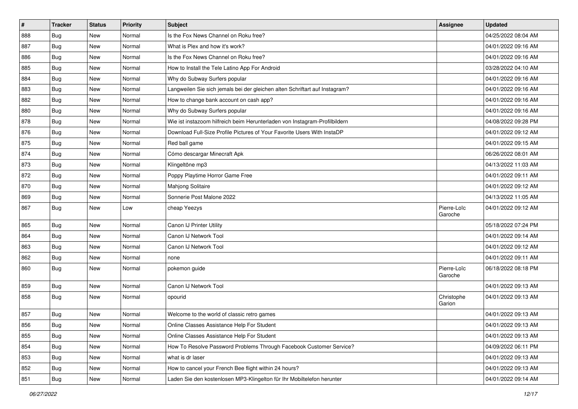| $\vert$ # | <b>Tracker</b> | <b>Status</b> | <b>Priority</b> | <b>Subject</b>                                                              | Assignee               | <b>Updated</b>      |
|-----------|----------------|---------------|-----------------|-----------------------------------------------------------------------------|------------------------|---------------------|
| 888       | <b>Bug</b>     | New           | Normal          | Is the Fox News Channel on Roku free?                                       |                        | 04/25/2022 08:04 AM |
| 887       | <b>Bug</b>     | <b>New</b>    | Normal          | What is Plex and how it's work?                                             |                        | 04/01/2022 09:16 AM |
| 886       | Bug            | New           | Normal          | Is the Fox News Channel on Roku free?                                       |                        | 04/01/2022 09:16 AM |
| 885       | <b>Bug</b>     | New           | Normal          | How to Install the Tele Latino App For Android                              |                        | 03/28/2022 04:10 AM |
| 884       | <b>Bug</b>     | <b>New</b>    | Normal          | Why do Subway Surfers popular                                               |                        | 04/01/2022 09:16 AM |
| 883       | Bug            | New           | Normal          | Langweilen Sie sich jemals bei der gleichen alten Schriftart auf Instagram? |                        | 04/01/2022 09:16 AM |
| 882       | Bug            | New           | Normal          | How to change bank account on cash app?                                     |                        | 04/01/2022 09:16 AM |
| 880       | <b>Bug</b>     | New           | Normal          | Why do Subway Surfers popular                                               |                        | 04/01/2022 09:16 AM |
| 878       | <b>Bug</b>     | <b>New</b>    | Normal          | Wie ist instazoom hilfreich beim Herunterladen von Instagram-Profilbildern  |                        | 04/08/2022 09:28 PM |
| 876       | Bug            | <b>New</b>    | Normal          | Download Full-Size Profile Pictures of Your Favorite Users With InstaDP     |                        | 04/01/2022 09:12 AM |
| 875       | <b>Bug</b>     | New           | Normal          | Red ball game                                                               |                        | 04/01/2022 09:15 AM |
| 874       | <b>Bug</b>     | New           | Normal          | Cómo descargar Minecraft Apk                                                |                        | 06/26/2022 08:01 AM |
| 873       | Bug            | <b>New</b>    | Normal          | Klingeltöne mp3                                                             |                        | 04/13/2022 11:03 AM |
| 872       | <b>Bug</b>     | <b>New</b>    | Normal          | Poppy Playtime Horror Game Free                                             |                        | 04/01/2022 09:11 AM |
| 870       | <b>Bug</b>     | <b>New</b>    | Normal          | Mahjong Solitaire                                                           |                        | 04/01/2022 09:12 AM |
| 869       | Bug            | New           | Normal          | Sonnerie Post Malone 2022                                                   |                        | 04/13/2022 11:05 AM |
| 867       | <b>Bug</b>     | New           | Low             | cheap Yeezys                                                                | Pierre-Loïc<br>Garoche | 04/01/2022 09:12 AM |
| 865       | <b>Bug</b>     | <b>New</b>    | Normal          | Canon IJ Printer Utility                                                    |                        | 05/18/2022 07:24 PM |
| 864       | Bug            | New           | Normal          | Canon IJ Network Tool                                                       |                        | 04/01/2022 09:14 AM |
| 863       | Bug            | New           | Normal          | Canon IJ Network Tool                                                       |                        | 04/01/2022 09:12 AM |
| 862       | <b>Bug</b>     | <b>New</b>    | Normal          | none                                                                        |                        | 04/01/2022 09:11 AM |
| 860       | <b>Bug</b>     | New           | Normal          | pokemon guide                                                               | Pierre-Loïc<br>Garoche | 06/18/2022 08:18 PM |
| 859       | <b>Bug</b>     | New           | Normal          | Canon IJ Network Tool                                                       |                        | 04/01/2022 09:13 AM |
| 858       | <b>Bug</b>     | <b>New</b>    | Normal          | opourid                                                                     | Christophe<br>Garion   | 04/01/2022 09:13 AM |
| 857       | <b>Bug</b>     | New           | Normal          | Welcome to the world of classic retro games                                 |                        | 04/01/2022 09:13 AM |
| 856       | Bug            | New           | Normal          | Online Classes Assistance Help For Student                                  |                        | 04/01/2022 09:13 AM |
| 855       | <b>Bug</b>     | New           | Normal          | Online Classes Assistance Help For Student                                  |                        | 04/01/2022 09:13 AM |
| 854       | <b>Bug</b>     | <b>New</b>    | Normal          | How To Resolve Password Problems Through Facebook Customer Service?         |                        | 04/09/2022 06:11 PM |
| 853       | <b>Bug</b>     | New           | Normal          | what is dr laser                                                            |                        | 04/01/2022 09:13 AM |
| 852       | <b>Bug</b>     | New           | Normal          | How to cancel your French Bee flight within 24 hours?                       |                        | 04/01/2022 09:13 AM |
| 851       | <b>Bug</b>     | New           | Normal          | Laden Sie den kostenlosen MP3-Klingelton für Ihr Mobiltelefon herunter      |                        | 04/01/2022 09:14 AM |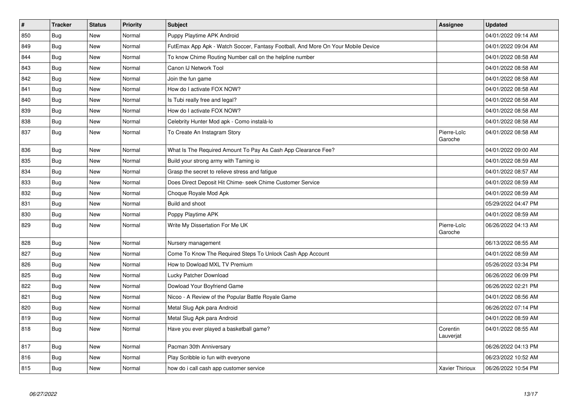| $\vert$ # | <b>Tracker</b> | <b>Status</b> | <b>Priority</b> | <b>Subject</b>                                                                   | Assignee               | <b>Updated</b>      |
|-----------|----------------|---------------|-----------------|----------------------------------------------------------------------------------|------------------------|---------------------|
| 850       | Bug            | <b>New</b>    | Normal          | Puppy Playtime APK Android                                                       |                        | 04/01/2022 09:14 AM |
| 849       | <b>Bug</b>     | <b>New</b>    | Normal          | FutEmax App Apk - Watch Soccer, Fantasy Football, And More On Your Mobile Device |                        | 04/01/2022 09:04 AM |
| 844       | Bug            | New           | Normal          | To know Chime Routing Number call on the helpline number                         |                        | 04/01/2022 08:58 AM |
| 843       | <b>Bug</b>     | New           | Normal          | Canon IJ Network Tool                                                            |                        | 04/01/2022 08:58 AM |
| 842       | Bug            | New           | Normal          | Join the fun game                                                                |                        | 04/01/2022 08:58 AM |
| 841       | Bug            | New           | Normal          | How do I activate FOX NOW?                                                       |                        | 04/01/2022 08:58 AM |
| 840       | Bug            | New           | Normal          | Is Tubi really free and legal?                                                   |                        | 04/01/2022 08:58 AM |
| 839       | Bug            | <b>New</b>    | Normal          | How do I activate FOX NOW?                                                       |                        | 04/01/2022 08:58 AM |
| 838       | Bug            | New           | Normal          | Celebrity Hunter Mod apk - Como instalá-lo                                       |                        | 04/01/2022 08:58 AM |
| 837       | Bug            | New           | Normal          | To Create An Instagram Story                                                     | Pierre-Loïc<br>Garoche | 04/01/2022 08:58 AM |
| 836       | Bug            | New           | Normal          | What Is The Required Amount To Pay As Cash App Clearance Fee?                    |                        | 04/01/2022 09:00 AM |
| 835       | <b>Bug</b>     | New           | Normal          | Build your strong army with Taming io                                            |                        | 04/01/2022 08:59 AM |
| 834       | <b>Bug</b>     | New           | Normal          | Grasp the secret to relieve stress and fatigue                                   |                        | 04/01/2022 08:57 AM |
| 833       | <b>Bug</b>     | <b>New</b>    | Normal          | Does Direct Deposit Hit Chime- seek Chime Customer Service                       |                        | 04/01/2022 08:59 AM |
| 832       | Bug            | <b>New</b>    | Normal          | Choque Royale Mod Apk                                                            |                        | 04/01/2022 08:59 AM |
| 831       | <b>Bug</b>     | <b>New</b>    | Normal          | Build and shoot                                                                  |                        | 05/29/2022 04:47 PM |
| 830       | Bug            | New           | Normal          | Poppy Playtime APK                                                               |                        | 04/01/2022 08:59 AM |
| 829       | <b>Bug</b>     | <b>New</b>    | Normal          | Write My Dissertation For Me UK                                                  | Pierre-Loïc<br>Garoche | 06/26/2022 04:13 AM |
| 828       | <b>Bug</b>     | <b>New</b>    | Normal          | Nursery management                                                               |                        | 06/13/2022 08:55 AM |
| 827       | Bug            | <b>New</b>    | Normal          | Come To Know The Required Steps To Unlock Cash App Account                       |                        | 04/01/2022 08:59 AM |
| 826       | <b>Bug</b>     | <b>New</b>    | Normal          | How to Dowload MXL TV Premium                                                    |                        | 05/26/2022 03:34 PM |
| 825       | Bug            | New           | Normal          | Lucky Patcher Download                                                           |                        | 06/26/2022 06:09 PM |
| 822       | <b>Bug</b>     | New           | Normal          | Dowload Your Boyfriend Game                                                      |                        | 06/26/2022 02:21 PM |
| 821       | Bug            | New           | Normal          | Nicoo - A Review of the Popular Battle Royale Game                               |                        | 04/01/2022 08:56 AM |
| 820       | <b>Bug</b>     | New           | Normal          | Metal Slug Apk para Android                                                      |                        | 06/26/2022 07:14 PM |
| 819       | Bug            | New           | Normal          | Metal Slug Apk para Android                                                      |                        | 04/01/2022 08:59 AM |
| 818       | Bug            | New           | Normal          | Have you ever played a basketball game?                                          | Corentin<br>Lauverjat  | 04/01/2022 08:55 AM |
| 817       | Bug            | New           | Normal          | Pacman 30th Anniversary                                                          |                        | 06/26/2022 04:13 PM |
| 816       | Bug            | New           | Normal          | Play Scribble io fun with everyone                                               |                        | 06/23/2022 10:52 AM |
| 815       | <b>Bug</b>     | New           | Normal          | how do i call cash app customer service                                          | <b>Xavier Thirioux</b> | 06/26/2022 10:54 PM |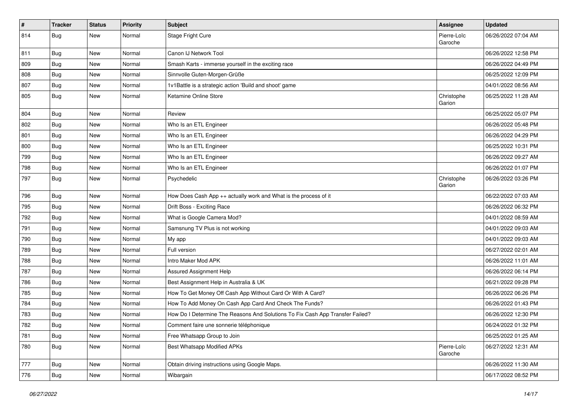| $\pmb{\#}$ | <b>Tracker</b> | <b>Status</b> | <b>Priority</b> | Subject                                                                       | <b>Assignee</b>        | <b>Updated</b>      |
|------------|----------------|---------------|-----------------|-------------------------------------------------------------------------------|------------------------|---------------------|
| 814        | <b>Bug</b>     | New           | Normal          | Stage Fright Cure                                                             | Pierre-Loïc<br>Garoche | 06/26/2022 07:04 AM |
| 811        | Bug            | New           | Normal          | Canon IJ Network Tool                                                         |                        | 06/26/2022 12:58 PM |
| 809        | Bug            | New           | Normal          | Smash Karts - immerse yourself in the exciting race                           |                        | 06/26/2022 04:49 PM |
| 808        | Bug            | <b>New</b>    | Normal          | Sinnvolle Guten-Morgen-Grüße                                                  |                        | 06/25/2022 12:09 PM |
| 807        | Bug            | New           | Normal          | 1v1Battle is a strategic action 'Build and shoot' game                        |                        | 04/01/2022 08:56 AM |
| 805        | Bug            | New           | Normal          | Ketamine Online Store                                                         | Christophe<br>Garion   | 06/25/2022 11:28 AM |
| 804        | Bug            | New           | Normal          | Review                                                                        |                        | 06/25/2022 05:07 PM |
| 802        | Bug            | New           | Normal          | Who Is an ETL Engineer                                                        |                        | 06/26/2022 05:48 PM |
| 801        | Bug            | New           | Normal          | Who Is an ETL Engineer                                                        |                        | 06/26/2022 04:29 PM |
| 800        | Bug            | New           | Normal          | Who Is an ETL Engineer                                                        |                        | 06/25/2022 10:31 PM |
| 799        | Bug            | New           | Normal          | Who Is an ETL Engineer                                                        |                        | 06/26/2022 09:27 AM |
| 798        | Bug            | New           | Normal          | Who Is an ETL Engineer                                                        |                        | 06/26/2022 01:07 PM |
| 797        | <b>Bug</b>     | New           | Normal          | Psychedelic                                                                   | Christophe<br>Garion   | 06/26/2022 03:26 PM |
| 796        | Bug            | New           | Normal          | How Does Cash App ++ actually work and What is the process of it              |                        | 06/22/2022 07:03 AM |
| 795        | Bug            | <b>New</b>    | Normal          | Drift Boss - Exciting Race                                                    |                        | 06/26/2022 06:32 PM |
| 792        | <b>Bug</b>     | New           | Normal          | What is Google Camera Mod?                                                    |                        | 04/01/2022 08:59 AM |
| 791        | Bug            | New           | Normal          | Samsnung TV Plus is not working                                               |                        | 04/01/2022 09:03 AM |
| 790        | Bug            | New           | Normal          | My app                                                                        |                        | 04/01/2022 09:03 AM |
| 789        | <b>Bug</b>     | New           | Normal          | Full version                                                                  |                        | 06/27/2022 02:01 AM |
| 788        | Bug            | New           | Normal          | Intro Maker Mod APK                                                           |                        | 06/26/2022 11:01 AM |
| 787        | <b>Bug</b>     | New           | Normal          | Assured Assignment Help                                                       |                        | 06/26/2022 06:14 PM |
| 786        | <b>Bug</b>     | New           | Normal          | Best Assignment Help in Australia & UK                                        |                        | 06/21/2022 09:28 PM |
| 785        | <b>Bug</b>     | <b>New</b>    | Normal          | How To Get Money Off Cash App Without Card Or With A Card?                    |                        | 06/26/2022 06:26 PM |
| 784        | Bug            | New           | Normal          | How To Add Money On Cash App Card And Check The Funds?                        |                        | 06/26/2022 01:43 PM |
| 783        | <b>Bug</b>     | New           | Normal          | How Do I Determine The Reasons And Solutions To Fix Cash App Transfer Failed? |                        | 06/26/2022 12:30 PM |
| 782        | Bug            | New           | Normal          | Comment faire une sonnerie téléphonique                                       |                        | 06/24/2022 01:32 PM |
| 781        | Bug            | New           | Normal          | Free Whatsapp Group to Join                                                   |                        | 06/25/2022 01:25 AM |
| 780        | <b>Bug</b>     | New           | Normal          | <b>Best Whatsapp Modified APKs</b>                                            | Pierre-Loïc<br>Garoche | 06/27/2022 12:31 AM |
| 777        | Bug            | New           | Normal          | Obtain driving instructions using Google Maps.                                |                        | 06/26/2022 11:30 AM |
| 776        | <b>Bug</b>     | New           | Normal          | Wibargain                                                                     |                        | 06/17/2022 08:52 PM |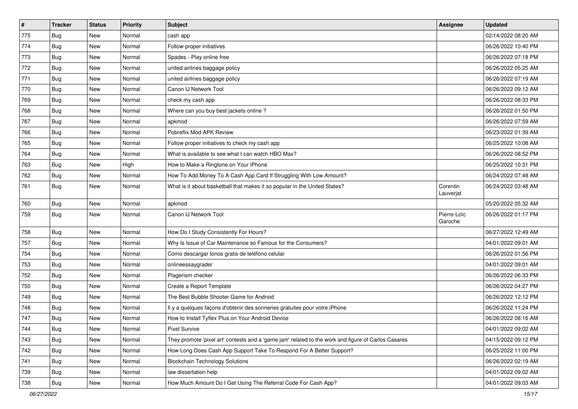| $\pmb{\#}$ | <b>Tracker</b> | <b>Status</b> | <b>Priority</b> | <b>Subject</b>                                                                                      | <b>Assignee</b>        | <b>Updated</b>      |
|------------|----------------|---------------|-----------------|-----------------------------------------------------------------------------------------------------|------------------------|---------------------|
| 775        | <b>Bug</b>     | New           | Normal          | cash app                                                                                            |                        | 02/14/2022 08:20 AM |
| 774        | <b>Bug</b>     | New           | Normal          | Follow proper initiatives                                                                           |                        | 06/26/2022 10:40 PM |
| 773        | <b>Bug</b>     | New           | Normal          | Spades - Play online free                                                                           |                        | 06/26/2022 07:18 PM |
| 772        | <b>Bug</b>     | New           | Normal          | united airlines baggage policy                                                                      |                        | 06/26/2022 05:25 AM |
| 771        | <b>Bug</b>     | <b>New</b>    | Normal          | united airlines baggage policy                                                                      |                        | 06/26/2022 07:19 AM |
| 770        | Bug            | New           | Normal          | Canon IJ Network Tool                                                                               |                        | 06/26/2022 09:12 AM |
| 769        | Bug            | New           | Normal          | check my cash app                                                                                   |                        | 06/26/2022 08:33 PM |
| 768        | <b>Bug</b>     | New           | Normal          | Where can you buy best jackets online?                                                              |                        | 06/26/2022 01:50 PM |
| 767        | Bug            | New           | Normal          | apkmod                                                                                              |                        | 06/26/2022 07:59 AM |
| 766        | Bug            | New           | Normal          | Pobreflix Mod APK Review                                                                            |                        | 06/23/2022 01:39 AM |
| 765        | <b>Bug</b>     | New           | Normal          | Follow proper initiatives to check my cash app                                                      |                        | 06/25/2022 10:08 AM |
| 764        | Bug            | New           | Normal          | What is available to see what I can watch HBO Max?                                                  |                        | 06/26/2022 08:52 PM |
| 763        | Bug            | New           | High            | How to Make a Ringtone on Your iPhone                                                               |                        | 06/25/2022 10:31 PM |
| 762        | <b>Bug</b>     | New           | Normal          | How To Add Money To A Cash App Card If Struggling With Low Amount?                                  |                        | 06/24/2022 07:48 AM |
| 761        | <b>Bug</b>     | New           | Normal          | What is it about basketball that makes it so popular in the United States?                          | Corentin<br>Lauverjat  | 06/24/2022 03:48 AM |
| 760        | Bug            | New           | Normal          | apkmod                                                                                              |                        | 05/20/2022 05:32 AM |
| 759        | <b>Bug</b>     | <b>New</b>    | Normal          | Canon IJ Network Tool                                                                               | Pierre-Loïc<br>Garoche | 06/26/2022 01:17 PM |
| 758        | Bug            | New           | Normal          | How Do I Study Consistently For Hours?                                                              |                        | 06/27/2022 12:49 AM |
| 757        | <b>Bug</b>     | <b>New</b>    | Normal          | Why Is Issue of Car Maintenance so Famous for the Consumers?                                        |                        | 04/01/2022 09:01 AM |
| 754        | <b>Bug</b>     | New           | Normal          | Cómo descargar tonos gratis de teléfono celular                                                     |                        | 06/26/2022 01:56 PM |
| 753        | <b>Bug</b>     | New           | Normal          | onlineessaygrader                                                                                   |                        | 04/01/2022 09:01 AM |
| 752        | <b>Bug</b>     | New           | Normal          | Plagerism checker                                                                                   |                        | 06/26/2022 06:33 PM |
| 750        | <b>Bug</b>     | New           | Normal          | Create a Report Template                                                                            |                        | 06/26/2022 04:27 PM |
| 749        | Bug            | <b>New</b>    | Normal          | The Best Bubble Shooter Game for Android                                                            |                        | 06/26/2022 12:12 PM |
| 748        | <b>Bug</b>     | New           | Normal          | Il y a quelques façons d'obtenir des sonneries gratuites pour votre iPhone                          |                        | 06/26/2022 11:24 PM |
| 747        | <b>Bug</b>     | New           | Normal          | How to Install Tyflex Plus on Your Android Device                                                   |                        | 06/26/2022 08:16 AM |
| 744        | Bug            | New           | Normal          | Pixel Survive                                                                                       |                        | 04/01/2022 09:02 AM |
| 743        | <b>Bug</b>     | New           | Normal          | They promote 'pixel art' contests and a 'game jam' related to the work and figure of Carlos Casares |                        | 04/15/2022 09:12 PM |
| 742        | <b>Bug</b>     | New           | Normal          | How Long Does Cash App Support Take To Respond For A Better Support?                                |                        | 06/25/2022 11:00 PM |
| 741        | <b>Bug</b>     | New           | Normal          | <b>Blockchain Technology Solutions</b>                                                              |                        | 06/26/2022 02:19 AM |
| 739        | Bug            | New           | Normal          | law dissertation help                                                                               |                        | 04/01/2022 09:02 AM |
| 738        | Bug            | New           | Normal          | How Much Amount Do I Get Using The Referral Code For Cash App?                                      |                        | 04/01/2022 09:03 AM |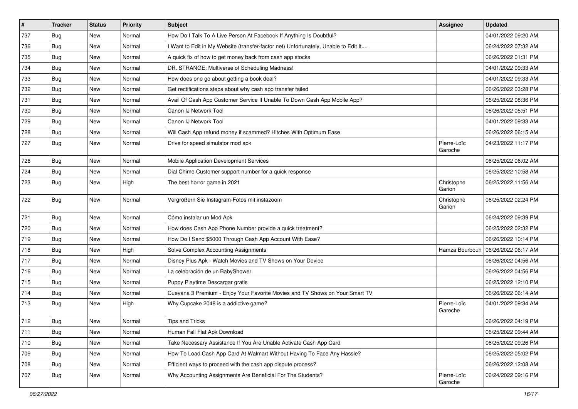| #   | <b>Tracker</b> | <b>Status</b> | <b>Priority</b> | Subject                                                                             | <b>Assignee</b>        | <b>Updated</b>      |
|-----|----------------|---------------|-----------------|-------------------------------------------------------------------------------------|------------------------|---------------------|
| 737 | <b>Bug</b>     | New           | Normal          | How Do I Talk To A Live Person At Facebook If Anything Is Doubtful?                 |                        | 04/01/2022 09:20 AM |
| 736 | Bug            | New           | Normal          | I Want to Edit in My Website (transfer-factor.net) Unfortunately, Unable to Edit It |                        | 06/24/2022 07:32 AM |
| 735 | Bug            | New           | Normal          | A quick fix of how to get money back from cash app stocks                           |                        | 06/26/2022 01:31 PM |
| 734 | Bug            | <b>New</b>    | Normal          | DR. STRANGE: Multiverse of Scheduling Madness!                                      |                        | 04/01/2022 09:33 AM |
| 733 | Bug            | <b>New</b>    | Normal          | How does one go about getting a book deal?                                          |                        | 04/01/2022 09:33 AM |
| 732 | <b>Bug</b>     | New           | Normal          | Get rectifications steps about why cash app transfer failed                         |                        | 06/26/2022 03:28 PM |
| 731 | <b>Bug</b>     | New           | Normal          | Avail Of Cash App Customer Service If Unable To Down Cash App Mobile App?           |                        | 06/25/2022 08:36 PM |
| 730 | <b>Bug</b>     | <b>New</b>    | Normal          | Canon IJ Network Tool                                                               |                        | 06/26/2022 05:51 PM |
| 729 | Bug            | New           | Normal          | Canon IJ Network Tool                                                               |                        | 04/01/2022 09:33 AM |
| 728 | Bug            | <b>New</b>    | Normal          | Will Cash App refund money if scammed? Hitches With Optimum Ease                    |                        | 06/26/2022 06:15 AM |
| 727 | <b>Bug</b>     | New           | Normal          | Drive for speed simulator mod apk                                                   | Pierre-Loïc<br>Garoche | 04/23/2022 11:17 PM |
| 726 | Bug            | <b>New</b>    | Normal          | Mobile Application Development Services                                             |                        | 06/25/2022 06:02 AM |
| 724 | <b>Bug</b>     | New           | Normal          | Dial Chime Customer support number for a quick response                             |                        | 06/25/2022 10:58 AM |
| 723 | <b>Bug</b>     | New           | High            | The best horror game in 2021                                                        | Christophe<br>Garion   | 06/25/2022 11:56 AM |
| 722 | <b>Bug</b>     | <b>New</b>    | Normal          | Vergrößern Sie Instagram-Fotos mit instazoom                                        | Christophe<br>Garion   | 06/25/2022 02:24 PM |
| 721 | <b>Bug</b>     | New           | Normal          | Cómo instalar un Mod Apk                                                            |                        | 06/24/2022 09:39 PM |
| 720 | Bug            | New           | Normal          | How does Cash App Phone Number provide a quick treatment?                           |                        | 06/25/2022 02:32 PM |
| 719 | Bug            | <b>New</b>    | Normal          | How Do I Send \$5000 Through Cash App Account With Ease?                            |                        | 06/26/2022 10:14 PM |
| 718 | <b>Bug</b>     | New           | High            | Solve Complex Accounting Assignments                                                | Hamza Bourbouh         | 06/26/2022 06:17 AM |
| 717 | Bug            | New           | Normal          | Disney Plus Apk - Watch Movies and TV Shows on Your Device                          |                        | 06/26/2022 04:56 AM |
| 716 | Bug            | <b>New</b>    | Normal          | La celebración de un BabyShower.                                                    |                        | 06/26/2022 04:56 PM |
| 715 | <b>Bug</b>     | New           | Normal          | Puppy Playtime Descargar gratis                                                     |                        | 06/25/2022 12:10 PM |
| 714 | Bug            | <b>New</b>    | Normal          | Cuevana 3 Premium - Enjoy Your Favorite Movies and TV Shows on Your Smart TV        |                        | 06/26/2022 06:14 AM |
| 713 | <b>Bug</b>     | New           | High            | Why Cupcake 2048 is a addictive game?                                               | Pierre-Loïc<br>Garoche | 04/01/2022 09:34 AM |
| 712 | Bug            | <b>New</b>    | Normal          | Tips and Tricks                                                                     |                        | 06/26/2022 04:19 PM |
| 711 | Bug            | New           | Normal          | Human Fall Flat Apk Download                                                        |                        | 06/25/2022 09:44 AM |
| 710 | <b>Bug</b>     | New           | Normal          | Take Necessary Assistance If You Are Unable Activate Cash App Card                  |                        | 06/25/2022 09:26 PM |
| 709 | <b>Bug</b>     | New           | Normal          | How To Load Cash App Card At Walmart Without Having To Face Any Hassle?             |                        | 06/25/2022 05:02 PM |
| 708 | <b>Bug</b>     | New           | Normal          | Efficient ways to proceed with the cash app dispute process?                        |                        | 06/26/2022 12:08 AM |
| 707 | <b>Bug</b>     | New           | Normal          | Why Accounting Assignments Are Beneficial For The Students?                         | Pierre-Loïc<br>Garoche | 06/24/2022 09:16 PM |